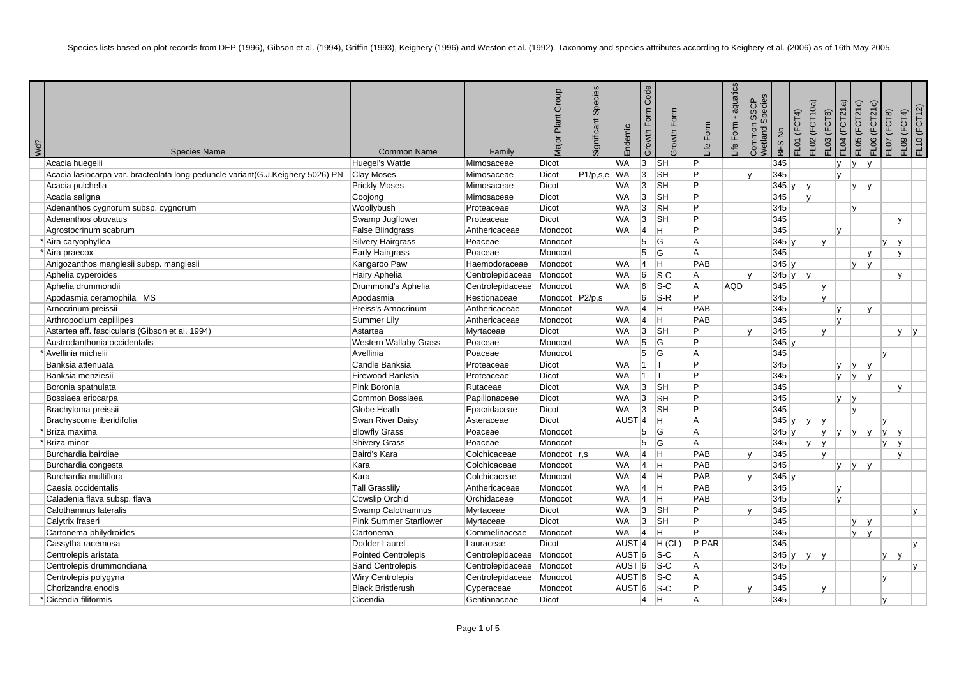| Wd? | <b>Species Name</b>                                                            | <b>Common Name</b>            | Family                     | Group<br>Plant<br><b>Major</b> | Species<br>Significant | Endemic           | Code<br>Form<br>Growth | Form<br>rowth | ife Form       | - aquatics<br>Form<br>$\stackrel{\text{def}}{=}$ | <b>Jetland Species</b><br><b>SSCP</b><br>Common | FL01 (FCT4)<br><b>BFS No</b> | FL02 (FCT10a) | $F$ LO3 ( $F$ CT8) | $=$ LO4 (FCT21a)   | $FLO5$ ( $FCT21c$ )<br>FLO6 (FCT21c) | FL07 (FCT8)  | FL09 (FCT4) | FL10 (FCT12) |
|-----|--------------------------------------------------------------------------------|-------------------------------|----------------------------|--------------------------------|------------------------|-------------------|------------------------|---------------|----------------|--------------------------------------------------|-------------------------------------------------|------------------------------|---------------|--------------------|--------------------|--------------------------------------|--------------|-------------|--------------|
|     | Acacia huegelii                                                                | Huegel's Wattle               | Mimosaceae                 | Dicot                          |                        | WA.               | 3                      | <b>SH</b>     | P.             |                                                  |                                                 | 345                          |               |                    | $\mathsf{v}$<br> V | V                                    |              |             |              |
|     | Acacia lasiocarpa var. bracteolata long peduncle variant(G.J.Keighery 5026) PN | Clay Moses                    | Mimosaceae                 | Dicot                          | P1/p,s,e               | <b>WA</b>         | 3                      | <b>SH</b>     | P              |                                                  |                                                 | 345                          |               |                    | Iv.                |                                      |              |             |              |
|     | Acacia pulchella                                                               | <b>Prickly Moses</b>          | Mimosaceae                 | Dicot                          |                        | WA                | 3                      | <b>SH</b>     | P              |                                                  |                                                 | 345 y                        | v             |                    | lv.                | V                                    |              |             |              |
|     | Acacia saligna                                                                 | Coojong                       | Mimosaceae                 | Dicot                          |                        | <b>WA</b>         | 3                      | SH            | P              |                                                  |                                                 | 345                          | v             |                    |                    |                                      |              |             |              |
|     | Adenanthos cygnorum subsp. cygnorum                                            | Woollybush                    | Proteaceae                 | Dicot                          |                        | WA.               | 3                      | ∣sн           | P              |                                                  |                                                 | 345                          |               |                    | IV.                |                                      |              |             |              |
|     | Adenanthos obovatus                                                            | Swamp Jugflower               | Proteaceae                 | Dicot                          |                        | <b>WA</b>         | 3                      | <b>SH</b>     | P              |                                                  |                                                 | 345                          |               |                    |                    |                                      |              | Iv.         |              |
|     | Agrostocrinum scabrum                                                          | <b>False Blindgrass</b>       | Anthericaceae              | Monocot                        |                        | WA.               | $\vert$ 4              | lн.           | P.             |                                                  |                                                 | 345                          |               |                    | Iv.                |                                      |              |             |              |
|     | * Aira caryophyllea                                                            | Silvery Hairgrass             | Poaceae                    | Monocot                        |                        |                   | 5                      | G             | A              |                                                  |                                                 | 345y                         |               | IV.                |                    |                                      | v            | V           |              |
|     | * Aira praecox                                                                 | Early Hairgrass               | Poaceae                    | Monocot                        |                        |                   | 5                      | G             | $\overline{A}$ |                                                  |                                                 | 345                          |               |                    |                    | $\mathsf{v}$                         |              | l y         |              |
|     | Anigozanthos manglesii subsp. manglesii                                        | Kangaroo Paw                  | Haemodoraceae              | Monocot                        |                        | WA.               | 4                      | lн.           | PAB            |                                                  |                                                 | $345 \vert v$                |               |                    | l v                | V                                    |              |             |              |
|     | Aphelia cyperoides                                                             | Hairy Aphelia                 | Centrolepidaceae Monocot   |                                |                        | <b>WA</b>         | 6                      | $ S-C$        | A              |                                                  |                                                 | 345y                         | y             |                    |                    |                                      |              | lv.         |              |
|     | Aphelia drummondii                                                             | Drummond's Aphelia            | Centrolepidaceae           | Monocot                        |                        | WA.               | 6                      | $ S-C$        | A              | AQD                                              |                                                 | 345                          |               | lv.                |                    |                                      |              |             |              |
|     | Apodasmia ceramophila MS                                                       | Apodasmia                     | Restionaceae               | Monocot P2/p,s                 |                        |                   | 6                      | $ S-R$        | P              |                                                  |                                                 | 345                          |               | lv.                |                    |                                      |              |             |              |
|     | Arnocrinum preissii                                                            | Preiss's Arnocrinum           | Anthericaceae              | Monocot                        |                        | WA                | 4                      | H             | PAB            |                                                  |                                                 | 345                          |               |                    | IV.                | l v                                  |              |             |              |
|     | Arthropodium capillipes                                                        | Summer Lily                   | Anthericaceae              | Monocot                        |                        | WA.               | 4                      | lн.           | PAB            |                                                  |                                                 | 345                          |               |                    | Iv.                |                                      |              |             |              |
|     | Astartea aff. fascicularis (Gibson et al. 1994)                                | Astartea                      | Myrtaceae                  | <b>Dicot</b>                   |                        | WA.               | 3                      | <b>SH</b>     | P              |                                                  |                                                 | 345                          |               | lv.                |                    |                                      |              | lv.<br> V   |              |
|     | Austrodanthonia occidentalis                                                   | <b>Western Wallaby Grass</b>  | Poaceae                    | Monocot                        |                        | WA                | 5                      | G             | P              |                                                  |                                                 | 345y                         |               |                    |                    |                                      |              |             |              |
|     | * Avellinia michelii                                                           | Avellinia                     | Poaceae                    | Monocot                        |                        |                   | 5                      | lG.           | $\overline{A}$ |                                                  |                                                 | 345                          |               |                    |                    |                                      | lv.          |             |              |
|     | Banksia attenuata                                                              | Candle Banksia                | Proteaceae                 | Dicot                          |                        | WA.               | $\overline{11}$        | IT.           | P              |                                                  |                                                 | 345                          |               |                    | lv.<br> V          | V                                    |              |             |              |
|     | Banksia menziesii                                                              | Firewood Banksia              | Proteaceae                 | Dicot                          |                        | WA.               | 11                     | IT.           | P              |                                                  |                                                 | 345                          |               |                    | ly.<br>lv.         | v                                    |              |             |              |
|     | Boronia spathulata                                                             | Pink Boronia                  | Rutaceae                   | Dicot                          |                        | <b>WA</b>         | 3                      | <b>SH</b>     | P              |                                                  |                                                 | 345                          |               |                    |                    |                                      |              | Iv.         |              |
|     | Bossiaea eriocarpa                                                             | Common Bossiaea               | Papilionaceae              | Dicot                          |                        | WA                | 3                      | ∣sн           | P.             |                                                  |                                                 | 345                          |               |                    | lv.<br> v          |                                      |              |             |              |
|     | Brachyloma preissii                                                            | Globe Heath                   | Epacridaceae               | Dicot                          |                        | WA.               | ∣3                     | ∣sн           | P              |                                                  |                                                 | 345                          |               |                    | Iv.                |                                      |              |             |              |
|     | Brachyscome iberidifolia                                                       | <b>Swan River Daisy</b>       | Asteraceae                 | Dicot                          |                        | AUST <sub>4</sub> |                        | Iн.           | A              |                                                  |                                                 | 345y                         | V <br>IV.     |                    |                    |                                      | v            |             |              |
|     | *Briza maxima                                                                  | <b>Blowfly Grass</b>          | Poaceae                    | Monocot                        |                        |                   | 5                      | G             | A              |                                                  |                                                 | 345y                         |               | Iv.                | V <br> V           | V                                    | V            | V           |              |
|     | *Briza minor                                                                   | Shivery Grass                 | Poaceae                    | Monocot                        |                        |                   | 5                      | lG.           | A              |                                                  |                                                 | 345                          | v             | Iv.                |                    |                                      | lv.          | v           |              |
|     | Burchardia bairdiae                                                            | Baird's Kara                  | Colchicaceae               | Monocot $\vert$ r,s            |                        | WA.               | $\overline{4}$         | lн.           | PAB            |                                                  |                                                 | 345                          | l v           |                    |                    |                                      |              | l v         |              |
|     | Burchardia congesta                                                            | Kara                          | Colchicaceae               | Monocot                        |                        | WA.               | $\overline{4}$         | lн.           | PAB            |                                                  |                                                 | 345                          |               |                    | v <br>ly.          | V                                    |              |             |              |
|     | Burchardia multiflora                                                          | Kara                          | Colchicaceae               | Monocot                        |                        | WA.               | $\overline{4}$         | Iн.           | PAB            |                                                  |                                                 | 345y                         |               |                    |                    |                                      |              |             |              |
|     | Caesia occidentalis                                                            | <b>Tall Grasslily</b>         | Anthericaceae              | Monocot                        |                        | WA.               | 4                      | lн.           | PAB            |                                                  |                                                 | 345                          |               |                    | IV.                |                                      |              |             |              |
|     | Caladenia flava subsp. flava                                                   | Cowslip Orchid                | Orchidaceae                | Monocot                        |                        | <b>WA</b>         | $\vert 4 \vert$        | H             | PAB            |                                                  |                                                 | 345                          |               |                    | lv.                |                                      |              |             |              |
|     | Calothamnus lateralis                                                          | Swamp Calothamnus             | Myrtaceae                  | Dicot                          |                        | <b>WA</b>         | 3                      | ∣sн           | P.             |                                                  |                                                 | 345                          |               |                    |                    |                                      |              |             | v            |
|     | Calytrix fraseri                                                               | <b>Pink Summer Starflower</b> | Myrtaceae                  | Dicot                          |                        | WA.               | 3                      | <b>SH</b>     | P              |                                                  |                                                 | 345                          |               |                    | V                  | V                                    |              |             |              |
|     | Cartonema philydroides                                                         | Cartonema                     | Commelinaceae              | Monocot                        |                        | <b>WA</b>         | 4                      | H.            | P              |                                                  |                                                 | 345                          |               |                    | IV.                | y                                    |              |             |              |
|     | Cassytha racemosa                                                              | Dodder Laurel                 | Lauraceae                  | <b>Dicot</b>                   |                        | AUST <sub>4</sub> |                        | $H$ (CL)      | P-PAR          |                                                  |                                                 | 345                          |               |                    |                    |                                      |              |             | v            |
|     | Centrolepis aristata                                                           | <b>Pointed Centrolepis</b>    | Centrolepidaceae Monocot   |                                |                        | AUST <sup>6</sup> |                        | $ S-C $       | A              |                                                  |                                                 | 345y                         | y             |                    |                    |                                      | IV.          | V           |              |
|     | Centrolepis drummondiana                                                       | Sand Centrolepis              | Centrolepidaceae Monocot   |                                |                        | AUST <sup>6</sup> |                        | $ S-C $       | A              |                                                  |                                                 | 345                          |               |                    |                    |                                      |              |             | v            |
|     | Centrolepis polygyna                                                           | <b>Wiry Centrolepis</b>       | Centrolepidaceae   Monocot |                                |                        | AUST <sup>6</sup> |                        | $ S-C $       | A              |                                                  |                                                 | 345                          |               |                    |                    |                                      | $\mathsf{v}$ |             |              |
|     | Chorizandra enodis                                                             | <b>Black Bristlerush</b>      | Cyperaceae                 | Monocot                        |                        | AUST <sup>6</sup> |                        | $ S-C$        | P              |                                                  |                                                 | 345                          |               | v                  |                    |                                      |              |             |              |
|     | * Cicendia filiformis                                                          | Cicendia                      | Gentianaceae               | <b>Dicot</b>                   |                        |                   | 14                     | H.            | $\overline{A}$ |                                                  |                                                 | 345                          |               |                    |                    |                                      | l v          |             |              |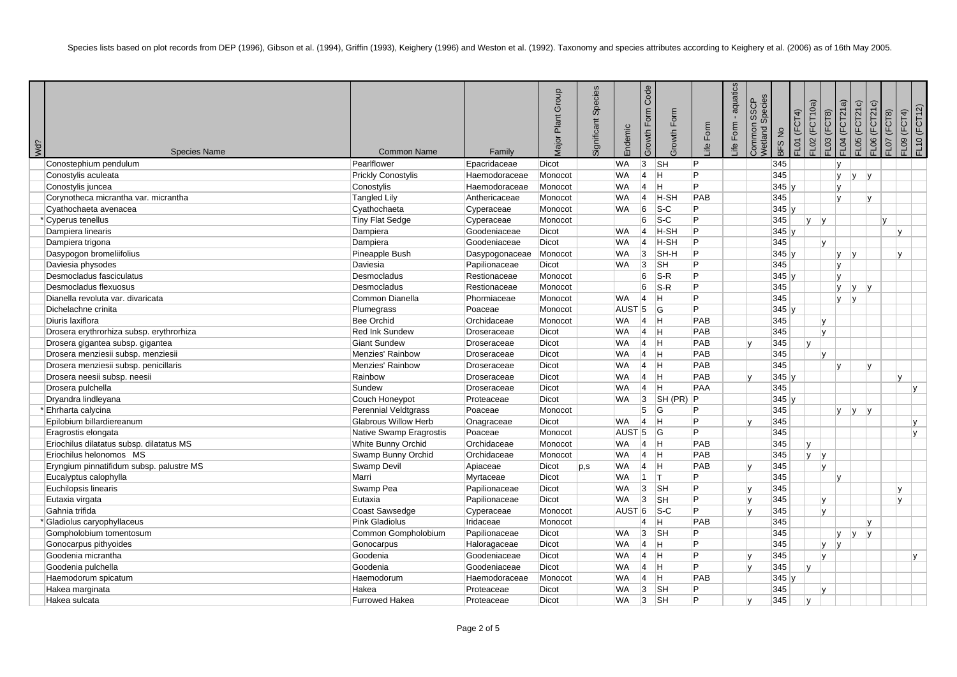| Wd? | <b>Species Name</b>                      | <b>Common Name</b>          | Family         | Group<br>Plant<br><i>lajor</i> | Species<br>Significant | Endemic           | Code<br>Form<br>Growth | Growth Form             | ife Form | - aquatics<br>ife Form | Vetland Species<br><b>SSCP</b><br>Common | BFS No  | $FLO1$ ( $FCT4$ ) | FL02 (FCT10a)<br>$F$ LO3 ( $F$ CT8) | FL04 (FCT21a) | FLO5 (FCT21c)     | FLO6 (FCT21c) | $=$ LO7 (FCT8) | FL10 (FCT12)<br>FL09 (FCT4) |
|-----|------------------------------------------|-----------------------------|----------------|--------------------------------|------------------------|-------------------|------------------------|-------------------------|----------|------------------------|------------------------------------------|---------|-------------------|-------------------------------------|---------------|-------------------|---------------|----------------|-----------------------------|
|     | Conostephium pendulum                    | Pearlflower                 | Epacridaceae   | Dicot                          |                        | <b>WA</b>         | $\overline{3}$         | <b>SH</b>               | Þ        |                        |                                          | 345     |                   |                                     | $\mathsf{v}$  |                   |               |                |                             |
|     | Conostylis aculeata                      | <b>Prickly Conostylis</b>   | Haemodoraceae  | Monocot                        |                        | WA                | $\overline{4}$         | Iн.                     | P        |                        |                                          | 345     |                   |                                     | ly.           | Iv.               | y             |                |                             |
|     | Conostylis juncea                        | Conostylis                  | Haemodoraceae  | Monocot                        |                        | <b>WA</b>         | $\overline{4}$         | Iн.                     | P        |                        |                                          | 345y    |                   |                                     | lv.           |                   |               |                |                             |
|     | Corynotheca micrantha var. micrantha     | Tangled Lily                | Anthericaceae  | Monocot                        |                        | <b>WA</b>         | $\overline{4}$         | $H-SH$                  | PAB      |                        |                                          | 345     |                   |                                     | Iv.           |                   | Iv.           |                |                             |
|     | Cyathochaeta avenacea                    | Cyathochaeta                | Cyperaceae     | Monocot                        |                        | WA                | 6                      | $ S-C $                 | P        |                        |                                          | 345y    |                   |                                     |               |                   |               |                |                             |
|     | * Cyperus tenellus                       | Tiny Flat Sedge             | Cyperaceae     | Monocot                        |                        |                   | 6                      | $ S-C $                 | P        |                        |                                          | 345     |                   | $\mathsf{v}$<br> v                  |               |                   | lv.           |                |                             |
|     | Dampiera linearis                        | Dampiera                    | Goodeniaceae   | Dicot                          |                        | <b>WA</b>         | $ 4\rangle$            | H-SH                    | P        |                        |                                          | 345y    |                   |                                     |               |                   |               | $\mathsf{v}$   |                             |
|     | Dampiera trigona                         | Dampiera                    | Goodeniaceae   | Dicot                          |                        | <b>WA</b>         | $\overline{4}$         | H-SH                    | D        |                        |                                          | 345     |                   | Iv.                                 |               |                   |               |                |                             |
|     | Dasypogon bromeliifolius                 | Pineapple Bush              | Dasypogonaceae | Monocot                        |                        | WA                | $\overline{3}$         | SH-H                    | P        |                        |                                          | $345$ y |                   |                                     | ly.           | $\mathsf{v}$      |               | l v            |                             |
|     | Daviesia physodes                        | Daviesia                    | Papilionaceae  | Dicot                          |                        | <b>WA</b>         | 3                      | <b>SH</b>               | P        |                        |                                          | 345     |                   |                                     | lv.           |                   |               |                |                             |
|     | Desmocladus fasciculatus                 | Desmocladus                 | Restionaceae   | Monocot                        |                        |                   | 6                      | $S-R$                   | P        |                        |                                          | 345y    |                   |                                     | IV.           |                   |               |                |                             |
|     | Desmocladus flexuosus                    | Desmocladus                 | Restionaceae   | Monocot                        |                        |                   | 6                      | $S-R$                   | P        |                        |                                          | 345     |                   |                                     | ly.           | ly.<br> y         |               |                |                             |
|     | Dianella revoluta var. divaricata        | Common Dianella             | Phormiaceae    | Monocot                        |                        | <b>WA</b>         | $\vert 4 \vert$        | lн.                     | Þ        |                        |                                          | 345     |                   |                                     | lv.           | V                 |               |                |                             |
|     | Dichelachne crinita                      | Plumegrass                  | Poaceae        | Monocot                        |                        | AUST <sub>5</sub> |                        | G                       | P        |                        |                                          | 345y    |                   |                                     |               |                   |               |                |                             |
|     | Diuris laxiflora                         | <b>Bee Orchid</b>           | Orchidaceae    | Monocot                        |                        | WA                | $\vert$ 4              | Iн.                     | PAB      |                        |                                          | 345     |                   | Iv.                                 |               |                   |               |                |                             |
|     | Drosera erythrorhiza subsp. erythrorhiza | <b>Red Ink Sundew</b>       | Droseraceae    | Dicot                          |                        | <b>WA</b>         | $\vert$ 4              | Iн.                     | PAB      |                        |                                          | 345     |                   | lv.                                 |               |                   |               |                |                             |
|     | Drosera gigantea subsp. gigantea         | <b>Giant Sundew</b>         | Droseraceae    | Dicot                          |                        | <b>WA</b>         | $\overline{4}$         | Iн.                     | PAB      |                        |                                          | 345     | l v               |                                     |               |                   |               |                |                             |
|     | Drosera menziesii subsp. menziesii       | Menzies' Rainbow            | Droseraceae    | Dicot                          |                        | <b>WA</b>         | $\overline{4}$         | Iн.                     | PAB      |                        |                                          | 345     |                   | Iv.                                 |               |                   |               |                |                             |
|     | Drosera menziesii subsp. penicillaris    | <b>Menzies' Rainbow</b>     | Droseraceae    | Dicot                          |                        | WA                | $\overline{4}$         | -lh                     | PAB      |                        |                                          | 345     |                   |                                     | lv.           |                   | l V           |                |                             |
|     | Drosera neesii subsp. neesii             | Rainbow                     | Droseraceae    | Dicot                          |                        | <b>WA</b>         | $\overline{4}$         | Iн.                     | PAB      |                        |                                          | 345y    |                   |                                     |               |                   |               | $\mathsf{v}$   |                             |
|     | Drosera pulchella                        | Sundew                      | Droseraceae    | Dicot                          |                        | <b>WA</b>         | $\vert$ 4              | Iн.                     | PAA      |                        |                                          | 345     |                   |                                     |               |                   |               |                | $\mathsf{v}$                |
|     | Dryandra lindleyana                      | Couch Honeypot              | Proteaceae     | Dicot                          |                        | WA                | 3                      | SH(PR)                  | ∣P.      |                        |                                          | 345y    |                   |                                     |               |                   |               |                |                             |
|     | Ehrharta calycina                        | Perennial Veldtgrass        | Poaceae        | Monocot                        |                        |                   | 5                      | lG.                     | P        |                        |                                          | 345     |                   |                                     |               | $ y $ $ y $ $ y $ |               |                |                             |
|     | Epilobium billardiereanum                | <b>Glabrous Willow Herb</b> | Onagraceae     | Dicot                          |                        | <b>WA</b>         | $\vert$ 4              | Iн.                     | P        |                        |                                          | 345     |                   |                                     |               |                   |               |                | v                           |
|     | Eragrostis elongata                      | Native Swamp Eragrostis     | Poaceae        | Monocot                        |                        | AUST <sub>5</sub> |                        | lG.                     | P        |                        |                                          | 345     |                   |                                     |               |                   |               |                | $\mathsf{v}$                |
|     | Eriochilus dilatatus subsp. dilatatus MS | White Bunny Orchid          | Orchidaceae    | Monocot                        |                        | <b>WA</b>         | $\vert$ 4              | Iн.                     | PAB      |                        |                                          | 345     | Iv.               |                                     |               |                   |               |                |                             |
|     | Eriochilus helonomos MS                  | Swamp Bunny Orchid          | Orchidaceae    | Monocot                        |                        | WA                | $\vert 4 \vert$        | Iн.                     | PAB      |                        |                                          | 345     | IV.               | v                                   |               |                   |               |                |                             |
|     | Eryngium pinnatifidum subsp. palustre MS | Swamp Devil                 | Apiaceae       | Dicot                          | p,s                    | <b>WA</b>         | $\overline{4}$         | H                       | PAB      |                        |                                          | 345     |                   | lv.                                 |               |                   |               |                |                             |
|     | Eucalyptus calophylla                    | Marri                       | Myrtaceae      | Dicot                          |                        | WA                | $\mathbf{1}$           | T                       | P        |                        |                                          | 345     |                   |                                     | l y           |                   |               |                |                             |
|     | Euchilopsis linearis                     | Swamp Pea                   | Papilionaceae  | Dicot                          |                        | <b>WA</b>         | 3                      | <b>SH</b>               | P        |                        |                                          | 345     |                   |                                     |               |                   |               | Iv.            |                             |
|     | Eutaxia virgata                          | Eutaxia                     | Papilionaceae  | Dicot                          |                        | <b>WA</b>         | 3                      | <b>SH</b>               | P        |                        | $\mathsf{v}$                             | 345     |                   | lv.                                 |               |                   |               | lv.            |                             |
|     | Gahnia trifida                           | Coast Sawsedge              | Cyperaceae     | Monocot                        |                        | AUST <sup>6</sup> |                        | $\overline{\text{S-C}}$ | P        |                        |                                          | 345     |                   | Iv.                                 |               |                   |               |                |                             |
|     | Gladiolus caryophyllaceus                | <b>Pink Gladiolus</b>       | Iridaceae      | Monocot                        |                        |                   | $\overline{4}$         | Iн.                     | PAB      |                        |                                          | 345     |                   |                                     |               |                   | ۱v            |                |                             |
|     | Gompholobium tomentosum                  | Common Gompholobium         | Papilionaceae  | Dicot                          |                        | <b>WA</b>         | 3                      | <sub>SH</sub>           | P        |                        |                                          | 345     |                   |                                     | lv.           | V <br> V          |               |                |                             |
|     | Gonocarpus pithyoides                    | Gonocarpus                  | Haloragaceae   | Dicot                          |                        | WA                | $\overline{4}$         | ÌН.                     | P        |                        |                                          | 345     |                   | IV.                                 | V             |                   |               |                |                             |
|     | Goodenia micrantha                       | Goodenia                    | Goodeniaceae   | Dicot                          |                        | <b>WA</b>         | $\vert$ 4              | Iн.                     | P        |                        |                                          | 345     |                   | lv.                                 |               |                   |               |                | V                           |
|     | Goodenia pulchella                       | Goodenia                    | Goodeniaceae   | Dicot                          |                        | WA.               | $\vert$ 4              | Iн.                     | P        |                        |                                          | 345     | IV.               |                                     |               |                   |               |                |                             |
|     | Haemodorum spicatum                      | Haemodorum                  | Haemodoraceae  | Monocot                        |                        | <b>WA</b>         | $\vert$ 4              | Iн.                     | PAB      |                        |                                          | 345y    |                   |                                     |               |                   |               |                |                             |
|     | Hakea marginata                          | Hakea                       | Proteaceae     | Dicot                          |                        | WA                | 3                      | SH                      | P        |                        |                                          | 345     |                   | $\mathsf{v}$                        |               |                   |               |                |                             |
|     | Hakea sulcata                            | <b>Furrowed Hakea</b>       | Proteaceae     | Dicot                          |                        | <b>WA</b>         | 3                      | <b>SH</b>               | P        |                        | $\mathsf{v}$                             | 345     | Iv.               |                                     |               |                   |               |                |                             |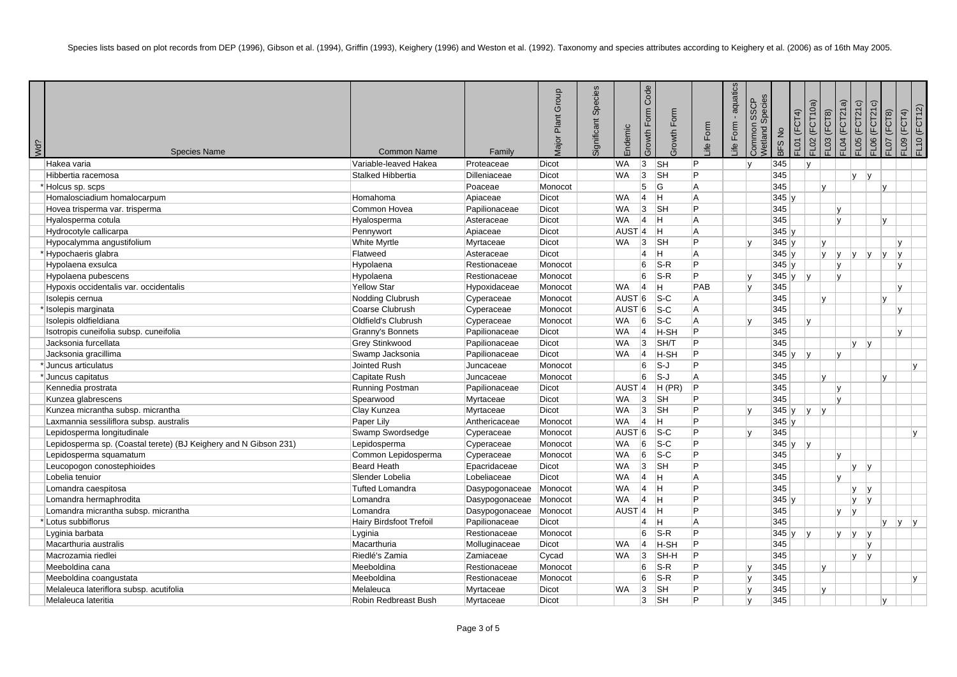| Wd? | <b>Species Name</b>                                              | <b>Common Name</b>       | Family         | Group<br>Plant<br><b>Major</b> | Species<br>Significant | Endemic             | Code<br>Growth Form | Form<br>Growth I | life Form.     | - aquatics<br>Form<br>ے≝ | Species<br>SSCP<br>Common<br>Netland: | BFS No      | $FLO1$ ( $FCT4$ ) | FL02 (FCT10a) | $=$ LO4 ( $=$ CT21a)<br>FL03 (FCT8) | FLOG(FCT21c) | FLO6 (FCT21c) | (FCT8)<br>FL07 | <b>EL10 (FCT12)</b><br>FL09 (FCT4) |
|-----|------------------------------------------------------------------|--------------------------|----------------|--------------------------------|------------------------|---------------------|---------------------|------------------|----------------|--------------------------|---------------------------------------|-------------|-------------------|---------------|-------------------------------------|--------------|---------------|----------------|------------------------------------|
|     | Hakea varia                                                      | Variable-leaved Hakea    | Proteaceae     | <b>Dicot</b>                   |                        | <b>WA</b>           | 3                   | <b>SH</b>        | P              |                          | $\mathsf{v}$                          | 345         |                   | $\mathsf{v}$  |                                     |              |               |                |                                    |
|     | Hibbertia racemosa                                               | <b>Stalked Hibbertia</b> | Dilleniaceae   | Dicot                          |                        | <b>WA</b>           | 3                   | <b>SH</b>        | P              |                          |                                       | 345         |                   |               |                                     | <b>v</b>     | v             |                |                                    |
|     | Holcus sp. scps                                                  |                          | Poaceae        | Monocot                        |                        |                     | 5                   | <b>G</b>         | A              |                          |                                       | 345         |                   | $\mathsf{v}$  |                                     |              |               | v              |                                    |
|     | Homalosciadium homalocarpum                                      | Homahoma                 | Apiaceae       | <b>Dicot</b>                   |                        | <b>WA</b>           | $\overline{4}$      | lн.              | A              |                          |                                       | 345y        |                   |               |                                     |              |               |                |                                    |
|     | Hovea trisperma var. trisperma                                   | Common Hovea             | Papilionaceae  | Dicot                          |                        | WA                  | 3                   | <b>SH</b>        | P              |                          |                                       | 345         |                   |               | Iv.                                 |              |               |                |                                    |
|     | Hyalosperma cotula                                               | Hyalosperma              | Asteraceae     | Dicot                          |                        | <b>WA</b>           | $\vert$ 4           | ÌН.              | A              |                          |                                       | 345         |                   |               | lv.                                 |              |               | $\mathsf{v}$   |                                    |
|     | Hydrocotyle callicarpa                                           | Pennywort                | Apiaceae       | Dicot                          |                        | $AUST$ 4            |                     | Iн.              | A              |                          |                                       | 345y        |                   |               |                                     |              |               |                |                                    |
|     | Hypocalymma angustifolium                                        | White Myrtle             | Myrtaceae      | Dicot                          |                        | WA                  | 3                   | <b>SH</b>        | P              |                          |                                       | 345y        |                   | IV.           |                                     |              |               | IV.            |                                    |
|     | *Hypochaeris glabra                                              | Flatweed                 | Asteraceae     | Dicot                          |                        |                     | 4                   | lн.              | A              |                          |                                       | 345y        |                   |               | ly ly                               | V            | v             | V <br>IV.      |                                    |
|     | Hypolaena exsulca                                                | Hypolaena                | Restionaceae   | Monocot                        |                        |                     | 6                   | $ S-R $          | P              |                          |                                       | 345y        |                   |               | lv.                                 |              |               | l v            |                                    |
|     | Hypolaena pubescens                                              | Hypolaena                | Restionaceae   | Monocot                        |                        |                     | 6                   | $S-R$            | P              |                          | ١v                                    | 345 $ y $ y |                   |               | v                                   |              |               |                |                                    |
|     | Hypoxis occidentalis var. occidentalis                           | <b>Yellow Star</b>       | Hypoxidaceae   | Monocot                        |                        | <b>WA</b>           | $\vert$ 4           | IH.              | PAB            |                          |                                       | 345         |                   |               |                                     |              |               | Iv.            |                                    |
|     | Isolepis cernua                                                  | Nodding Clubrush         | Cyperaceae     | Monocot                        |                        | AUST 6              |                     | $ S-C $          | A              |                          |                                       | 345         |                   | $\mathbf{v}$  |                                     |              |               |                |                                    |
|     | Isolepis marginata                                               | Coarse Clubrush          | Cyperaceae     | Monocot                        |                        | AUST <sup>6</sup>   |                     | $ S-C $          | A              |                          |                                       | 345         |                   |               |                                     |              |               | l V            |                                    |
|     | Isolepis oldfieldiana                                            | Oldfield's Clubrush      | Cyperaceae     | Monocot                        |                        | <b>WA</b>           | 6                   | $ S-C $          | A              |                          |                                       | 345         |                   | Iv.           |                                     |              |               |                |                                    |
|     | Isotropis cuneifolia subsp. cuneifolia                           | Granny's Bonnets         | Papilionaceae  | Dicot                          |                        | <b>WA</b>           | $\vert$ 4           | H-SH             | P              |                          |                                       | 345         |                   |               |                                     |              |               | Iv.            |                                    |
|     | Jacksonia furcellata                                             | Grey Stinkwood           | Papilionaceae  | Dicot                          |                        | WA                  | 3                   | SH/T             | P              |                          |                                       | 345         |                   |               |                                     | <b>V</b>     | V             |                |                                    |
|     | Jacksonia gracillima                                             | Swamp Jacksonia          | Papilionaceae  | Dicot                          |                        | <b>WA</b>           | 4                   | H-SH             | P              |                          |                                       | 345y        |                   | v             | Iv.                                 |              |               |                |                                    |
|     | * Juncus articulatus                                             | Jointed Rush             | Juncaceae      | Monocot                        |                        |                     | 6                   | S-J              | P              |                          |                                       | 345         |                   |               |                                     |              |               |                | v                                  |
|     | *Juncus capitatus                                                | Capitate Rush            | Juncaceae      | Monocot                        |                        |                     | 6                   | S-J              | l A            |                          |                                       | 345         |                   | lv.           |                                     |              |               | $\mathbf{v}$   |                                    |
|     | Kennedia prostrata                                               | Running Postman          | Papilionaceae  | Dicot                          |                        | $AUST$ <sup>4</sup> |                     | $H$ (PR)         | P              |                          |                                       | 345         |                   |               | lv.                                 |              |               |                |                                    |
|     | Kunzea glabrescens                                               | Spearwood                | Myrtaceae      | Dicot                          |                        | WA                  | 3                   | <b>SH</b>        | P              |                          |                                       | 345         |                   |               | Iv.                                 |              |               |                |                                    |
|     | Kunzea micrantha subsp. micrantha                                | Clay Kunzea              | Myrtaceae      | Dicot                          |                        | <b>WA</b>           | 3                   | <b>SH</b>        | P              |                          |                                       | 345y        |                   | y             |                                     |              |               |                |                                    |
|     | Laxmannia sessiliflora subsp. australis                          | Paper Lily               | Anthericaceae  | Monocot                        |                        | <b>WA</b>           | 4                   | ÌН.              | P              |                          |                                       | 345y        |                   |               |                                     |              |               |                |                                    |
|     | Lepidosperma longitudinale                                       | Swamp Swordsedge         | Cyperaceae     | Monocot                        |                        | AUST <sup>6</sup>   |                     | $ S-C $          | P              |                          |                                       | 345         |                   |               |                                     |              |               |                | $\mathsf{v}$                       |
|     | Lepidosperma sp. (Coastal terete) (BJ Keighery and N Gibson 231) | Lepidosperma             | Cyperaceae     | Monocot                        |                        | <b>WA</b>           | 6                   | $ S-C $          | P              |                          |                                       | 345y        |                   | v             |                                     |              |               |                |                                    |
|     | Lepidosperma squamatum                                           | Common Lepidosperma      | Cyperaceae     | Monocot                        |                        | <b>WA</b>           | 6                   | $ S-C $          | P              |                          |                                       | 345         |                   |               | Iv.                                 |              |               |                |                                    |
|     | Leucopogon conostephioides                                       | <b>Beard Heath</b>       | Epacridaceae   | Dicot                          |                        | WA                  | 3                   | <b>SH</b>        | P              |                          |                                       | 345         |                   |               |                                     | lv.          | y             |                |                                    |
|     | Lobelia tenuior                                                  | Slender Lobelia          | Lobeliaceae    | <b>Dicot</b>                   |                        | <b>WA</b>           | $\overline{4}$      | lн.              | A              |                          |                                       | 345         |                   |               | Iv.                                 |              |               |                |                                    |
|     | Lomandra caespitosa                                              | <b>Tufted Lomandra</b>   | Dasypogonaceae | Monocot                        |                        | WA                  | $\overline{4}$      | lН.              | P              |                          |                                       | 345         |                   |               |                                     | <b>v</b>     | V             |                |                                    |
|     | Lomandra hermaphrodita                                           | Lomandra                 | Dasypogonaceae | Monocot                        |                        | <b>WA</b>           | $\vert$ 4           | lн.              | P              |                          |                                       | 345y        |                   |               |                                     | lv.          | v             |                |                                    |
|     | Lomandra micrantha subsp. micrantha                              | Lomandra                 | Dasypogonaceae | Monocot                        |                        | AUST <sup>4</sup>   |                     | lН.              | P              |                          |                                       | 345         |                   |               | IV.                                 | ۱v           |               |                |                                    |
|     | Lotus subbiflorus                                                | Hairy Birdsfoot Trefoil  | Papilionaceae  | Dicot                          |                        |                     | 4                   | lн.              | $\overline{A}$ |                          |                                       | 345         |                   |               |                                     |              |               | V <br>V.       | V                                  |
|     | Lyginia barbata                                                  | Lyginia                  | Restionaceae   | Monocot                        |                        |                     | 6                   | $S-R$            | P              |                          |                                       | 345y        |                   | V             | ly.                                 | y            | y             |                |                                    |
|     | Macarthuria australis                                            | Macarthuria              | Molluginaceae  | Dicot                          |                        | <b>WA</b>           | $\vert$ 4           | H-SH             | P              |                          |                                       | 345         |                   |               |                                     |              | ۱v            |                |                                    |
|     | Macrozamia riedlei                                               | Riedlé's Zamia           | Zamiaceae      | Cycad                          |                        | <b>WA</b>           | 3                   | SH-H             | P              |                          |                                       | 345         |                   |               |                                     | lv.          | y             |                |                                    |
|     | Meeboldina cana                                                  | Meeboldina               | Restionaceae   | Monocot                        |                        |                     | 6                   | $S-R$            | P              |                          |                                       | 345         |                   | $\mathsf{v}$  |                                     |              |               |                |                                    |
|     | Meeboldina coangustata                                           | Meeboldina               | Restionaceae   | Monocot                        |                        |                     | 6                   | $S-R$            | P              |                          |                                       | 345         |                   |               |                                     |              |               |                | $\mathsf{v}$                       |
|     | Melaleuca lateriflora subsp. acutifolia                          | Melaleuca                | Myrtaceae      | Dicot                          |                        | WA                  | 3                   | <b>SH</b>        | P              |                          |                                       | 345         |                   | IV.           |                                     |              |               |                |                                    |
|     | Melaleuca lateritia                                              | Robin Redbreast Bush     | Myrtaceae      | Dicot                          |                        |                     | 3                   | <b>SH</b>        | P              |                          | $\mathsf{N}$                          | 345         |                   |               |                                     |              |               | l v            |                                    |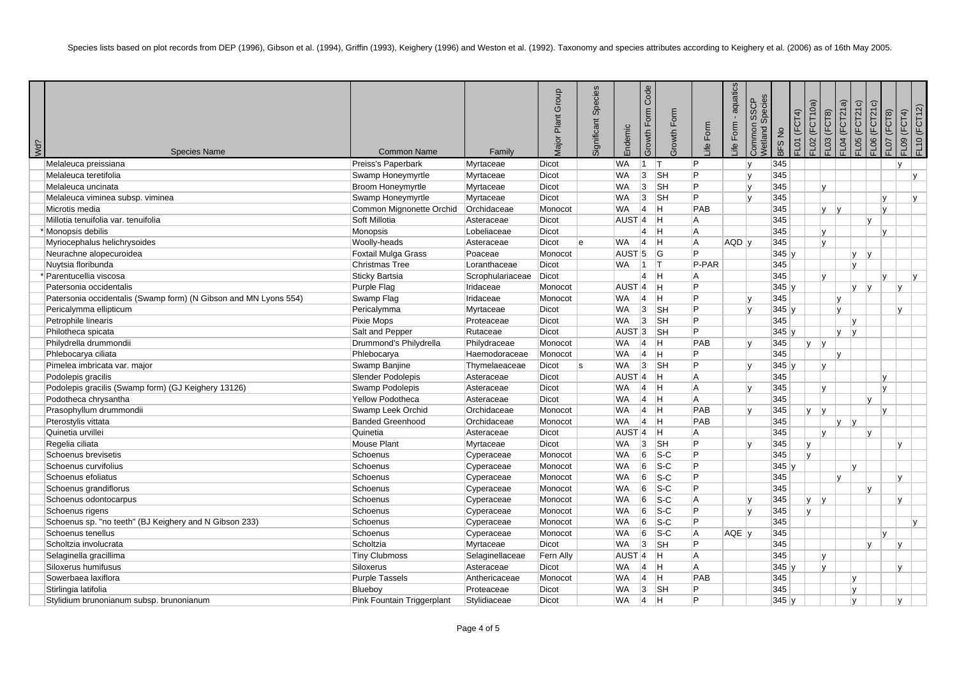| Wd? |                                                                  |                                          |                     | Group<br>Plant<br><i>lajor</i> | Species<br>Significant | Endemic             | Code<br>Form<br>Growth I | Growth Form               | life Form.     | - aquatics<br>Form<br>≞ | Vetland Species<br><b>SSCP</b><br>Common | <b>BFS No</b> | $FLO1$ ( $FCT4$ ) | FL02 (FCT10a)<br>FL03 (FCT8) | FL04 (FCT21a) | FLO5 (FCT21c) | FLO6 (FCT21c) | $=$ LO7 (FCT8) | FL10 (FCT12)<br>FL09 (FCT4) |
|-----|------------------------------------------------------------------|------------------------------------------|---------------------|--------------------------------|------------------------|---------------------|--------------------------|---------------------------|----------------|-------------------------|------------------------------------------|---------------|-------------------|------------------------------|---------------|---------------|---------------|----------------|-----------------------------|
|     | <b>Species Name</b><br>Melaleuca preissiana                      | <b>Common Name</b><br>Preiss's Paperbark | Family<br>Myrtaceae | Dicot                          |                        | <b>WA</b>           | $\vert$ 1                | ÌТ.                       | P              |                         | $\overline{v}$                           | 345           |                   |                              |               |               |               | l v            |                             |
|     | Melaleuca teretifolia                                            | Swamp Honeymyrtle                        | Myrtaceae           | Dicot                          |                        | <b>WA</b>           | 3                        | <b>SH</b>                 | P              |                         |                                          | 345           |                   |                              |               |               |               |                |                             |
|     | Melaleuca uncinata                                               | <b>Broom Honeymyrtle</b>                 | Myrtaceae           | Dicot                          |                        | <b>WA</b>           | 3                        | SH                        | P              |                         |                                          | 345           |                   | $\mathsf{v}$                 |               |               |               |                |                             |
|     | Melaleuca viminea subsp. viminea                                 | Swamp Honeymyrtle                        | Myrtaceae           | Dicot                          |                        | <b>WA</b>           | 3                        | $\overline{\mathsf{S}}$ H | P              |                         |                                          | 345           |                   |                              |               |               |               | $\mathsf{v}$   | v                           |
|     | Microtis media                                                   | Common Mignonette Orchid                 | Orchidaceae         | Monocot                        |                        | WA                  | 4                        | ÌН.                       | PAB            |                         |                                          | 345           |                   |                              | $V$ $V$       |               |               | Iv.            |                             |
|     | Millotia tenuifolia var. tenuifolia                              | Soft Millotia                            | Asteraceae          | <b>Dicot</b>                   |                        | AUST <sup>4</sup>   |                          | Iн.                       | A              |                         |                                          | 345           |                   |                              |               |               | lv.           |                |                             |
|     | Monopsis debilis                                                 | Monopsis                                 | Lobeliaceae         | Dicot                          |                        |                     | 4                        | Iн.                       | l A            |                         |                                          | 345           |                   | $\mathsf{v}$                 |               |               |               |                |                             |
|     | Myriocephalus helichrysoides                                     | Woolly-heads                             | Asteraceae          | Dicot                          | le                     | <b>WA</b>           | $\vert$ 4                | ÌН.                       | A              | $AQD$ $V$               |                                          | 345           |                   | Iv.                          |               |               |               |                |                             |
|     | Neurachne alopecuroidea                                          | Foxtail Mulga Grass                      | Poaceae             | Monocot                        |                        | AUST <sub>5</sub>   |                          | G                         | P              |                         |                                          | 345y          |                   |                              |               | lv.           | V             |                |                             |
|     | Nuytsia floribunda                                               | <b>Christmas Tree</b>                    | Loranthaceae        | <b>Dicot</b>                   |                        | <b>WA</b>           | $\vert$ 1                | T                         | P-PAR          |                         |                                          | 345           |                   |                              |               | lv.           |               |                |                             |
|     | * Parentucellia viscosa                                          | <b>Sticky Bartsia</b>                    | Scrophulariaceae    | Dicot                          |                        |                     | $\overline{4}$           | lн.                       | l A            |                         |                                          | 345           |                   | Iv.                          |               |               |               | $\mathbf{v}$   | $\mathsf{v}$                |
|     | Patersonia occidentalis                                          | Purple Flag                              | Iridaceae           | Monocot                        |                        | $AUST$ <sup>4</sup> |                          | Iн.                       | P              |                         |                                          | 345y          |                   |                              |               | lv.           | V             | $\mathsf{v}$   |                             |
|     | Patersonia occidentalis (Swamp form) (N Gibson and MN Lyons 554) | Swamp Flag                               | Iridaceae           | Monocot                        |                        | <b>WA</b>           | 4                        | lн.                       | P              |                         |                                          | 345           |                   |                              | Iv.           |               |               |                |                             |
|     | Pericalymma ellipticum                                           | Pericalymma                              | Myrtaceae           | Dicot                          |                        | <b>WA</b>           | 3                        | SH                        | P              |                         |                                          | 345y          |                   |                              | Iv.           |               |               | v              |                             |
|     | Petrophile linearis                                              | Pixie Mops                               | Proteaceae          | Dicot                          |                        | WA                  | 3                        | $\overline{\mathsf{S}}$ H | P              |                         |                                          | 345           |                   |                              |               | IV.           |               |                |                             |
|     | Philotheca spicata                                               | Salt and Pepper                          | Rutaceae            | Dicot                          |                        | AUST <sub>3</sub>   |                          | <b>SH</b>                 | P              |                         |                                          | $345 \vert v$ |                   |                              | lv.           | v             |               |                |                             |
|     | Philydrella drummondii                                           | Drummond's Philydrella                   | Philydraceae        | Monocot                        |                        | WA                  | $\vert$ 4                | lн.                       | PAB            |                         |                                          | 345           |                   | lv.<br> V                    |               |               |               |                |                             |
|     | Phlebocarya ciliata                                              | Phlebocarya                              | Haemodoraceae       | Monocot                        |                        | WA                  | $\vert$ 4                | lн.                       | P              |                         |                                          | 345           |                   |                              | IV.           |               |               |                |                             |
|     | Pimelea imbricata var. major                                     | Swamp Banjine                            | Thymelaeaceae       | Dicot                          | ls                     | WA                  | 3                        | SH                        | P              |                         |                                          | 345y          |                   | $\mathsf{v}$                 |               |               |               |                |                             |
|     | Podolepis gracilis                                               | <b>Slender Podolepis</b>                 | Asteraceae          | Dicot                          |                        | $AUST$ <sup>4</sup> |                          | ΙH.                       | l A            |                         |                                          | 345           |                   |                              |               |               |               | $\mathsf{v}$   |                             |
|     | Podolepis gracilis (Swamp form) (GJ Keighery 13126)              | Swamp Podolepis                          | Asteraceae          | Dicot                          |                        | WA                  | $\vert$ 4                | lн.                       | A              |                         |                                          | 345           |                   | lv.                          |               |               |               | $\mathbf{v}$   |                             |
|     | Podotheca chrysantha                                             | <b>Yellow Podotheca</b>                  | Asteraceae          | Dicot                          |                        | WA                  | $\vert$ 4                | lн.                       | $\overline{A}$ |                         |                                          | 345           |                   |                              |               |               | ۱v            |                |                             |
|     | Prasophyllum drummondii                                          | Swamp Leek Orchid                        | Orchidaceae         | Monocot                        |                        | <b>WA</b>           | $\vert$ 4                | lн.                       | PAB            |                         |                                          | 345           |                   | Iv.<br> V                    |               |               |               | $\mathsf{v}$   |                             |
|     | Pterostylis vittata                                              | <b>Banded Greenhood</b>                  | Orchidaceae         | Monocot                        |                        | WA                  | $\vert$ 4                | ΙH.                       | PAB            |                         |                                          | 345           |                   |                              | lv.           | V             |               |                |                             |
|     | Quinetia urvillei                                                | Quinetia                                 | Asteraceae          | Dicot                          |                        | $AUST$ <sup>4</sup> |                          | ÌН.                       | A              |                         |                                          | 345           |                   | Iv.                          |               |               | Iv.           |                |                             |
|     | Regelia ciliata                                                  | Mouse Plant                              | Myrtaceae           | Dicot                          |                        | <b>WA</b>           | 3                        | <sub>SH</sub>             | P              |                         |                                          | 345           |                   | Iv.                          |               |               |               | v              |                             |
|     | Schoenus brevisetis                                              | Schoenus                                 | Cyperaceae          | Monocot                        |                        | <b>WA</b>           | 6                        | $ S-C $                   | P              |                         |                                          | 345           |                   | IV.                          |               |               |               |                |                             |
|     | Schoenus curvifolius                                             | Schoenus                                 | Cyperaceae          | Monocot                        |                        | <b>WA</b>           | 6                        | $\overline{\text{S-C}}$   | P              |                         |                                          | 345y          |                   |                              |               | $\mathsf{v}$  |               |                |                             |
|     | Schoenus efoliatus                                               | Schoenus                                 | Cyperaceae          | Monocot                        |                        | WA                  | 6                        | $ S-C $                   | P              |                         |                                          | 345           |                   |                              | IV.           |               |               | $\mathsf{v}$   |                             |
|     | Schoenus grandiflorus                                            | Schoenus                                 | Cyperaceae          | Monocot                        |                        | <b>WA</b>           | 6                        | $ S-C $                   | P              |                         |                                          | 345           |                   |                              |               |               | Iv.           |                |                             |
|     | Schoenus odontocarpus                                            | Schoenus                                 | Cyperaceae          | Monocot                        |                        | <b>WA</b>           | 6                        | $ S-C $                   | A              |                         |                                          | 345           |                   | IV.<br> v                    |               |               |               | lv.            |                             |
|     | Schoenus rigens                                                  | Schoenus                                 | Cyperaceae          | Monocot                        |                        | WA                  | 6                        | $ S-C $                   | P              |                         |                                          | 345           |                   | IV.                          |               |               |               |                |                             |
|     | Schoenus sp. "no teeth" (BJ Keighery and N Gibson 233)           | Schoenus                                 | Cyperaceae          | Monocot                        |                        | <b>WA</b>           | 6                        | $S-C$                     | P              |                         |                                          | 345           |                   |                              |               |               |               |                | $\mathsf{v}$                |
|     | Schoenus tenellus                                                | Schoenus                                 | Cyperaceae          | Monocot                        |                        | <b>WA</b>           | 6                        | $ S-C $                   | l A            | AQE V                   |                                          | 345           |                   |                              |               |               |               | V              |                             |
|     | Scholtzia involucrata                                            | Scholtzia                                | Myrtaceae           | Dicot                          |                        | WA                  | 3                        | <b>SH</b>                 | P              |                         |                                          | 345           |                   |                              |               |               | Iv.           | $\mathsf{v}$   |                             |
|     | Selaginella gracillima                                           | <b>Tiny Clubmoss</b>                     | Selaginellaceae     | Fern Ally                      |                        | AUST <sup>4</sup>   |                          | lН.                       | A              |                         |                                          | 345           |                   | lv.                          |               |               |               |                |                             |
|     | Siloxerus humifusus                                              | Siloxerus                                | Asteraceae          | <b>Dicot</b>                   |                        | WA                  | $\vert$ 4                | lн.                       | A              |                         |                                          | 345y          |                   | Iv.                          |               |               |               | l v            |                             |
|     | Sowerbaea laxiflora                                              | <b>Purple Tassels</b>                    | Anthericaceae       | Monocot                        |                        | <b>WA</b>           | $\vert$ 4                | lн.                       | PAB            |                         |                                          | 345           |                   |                              |               | $\mathsf{v}$  |               |                |                             |
|     | Stirlingia latifolia                                             | Blueboy                                  | Proteaceae          | Dicot                          |                        | WA                  | 3                        | $\overline{\mathsf{S}}$ H | P              |                         |                                          | 345           |                   |                              |               | IV.           |               |                |                             |
|     | Stylidium brunonianum subsp. brunonianum                         | Pink Fountain Triggerplant               | Stylidiaceae        | Dicot                          |                        | <b>WA</b>           | $\vert$ 4                | lн.                       | P              |                         |                                          | 345y          |                   |                              |               | Iv.           |               | Iv.            |                             |